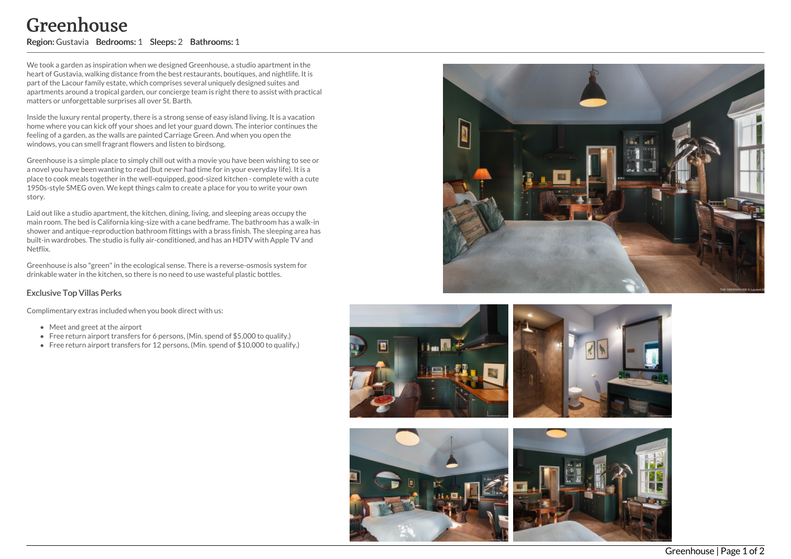## Greenhouse

Region: Gustavia Bedrooms: 1 Sleeps: 2 Bathrooms: 1

We took a garden as inspiration when we designed Greenhouse, a studio apartment in the heart of Gustavia, walking distance from the best restaurants, boutiques, and nightlife. It is part of the Lacour family estate, which comprises several uniquely designed suites and apartments around a tropical garden, our concierge team is right there to assist with practical matters or unforgettable surprises all over St. Barth.

Inside the luxury rental property, there is a strong sense of easy island living. It is a vacation home where you can kick off your shoes and let your guard down. The interior continues the feeling of a garden, as the walls are painted Carriage Green. And when you open the windows, you can smell fragrant flowers and listen to birdsong.

Greenhouse is a simple place to simply chill out with a movie you have been wishing to see or a novel you have been wanting to read (but never had time for in your everyday life). It is a place to cook meals together in the well-equipped, good-sized kitchen - complete with a cute 1950s-style SMEG oven. We kept things calm to create a place for you to write your own story.

Laid out like a studio apartment, the kitchen, dining, living, and sleeping areas occupy the main room. The bed is California king-size with a cane bedframe. The bathroom has a walk-in shower and antique-reproduction bathroom fittings with a brass finish. The sleeping area has built-in wardrobes. The studio is fully air-conditioned, and has an HDTV with Apple TV and Netflix.

Greenhouse is also "green"in the ecological sense. There is a reverse-osmosis system for drinkable water in the kitchen, so there is no need to use wasteful plastic bottles.

## Exclusive Top Villas Perks

Complimentary extras included when you book direct with us:

- Meet and greet at the airport
- Free return airport transfers for 6 persons, (Min. spend of \$5,000 to qualify.)
- Free return airport transfers for 12 persons, (Min. spend of \$10,000 to qualify.)





Greenhouse | Page 1 of 2